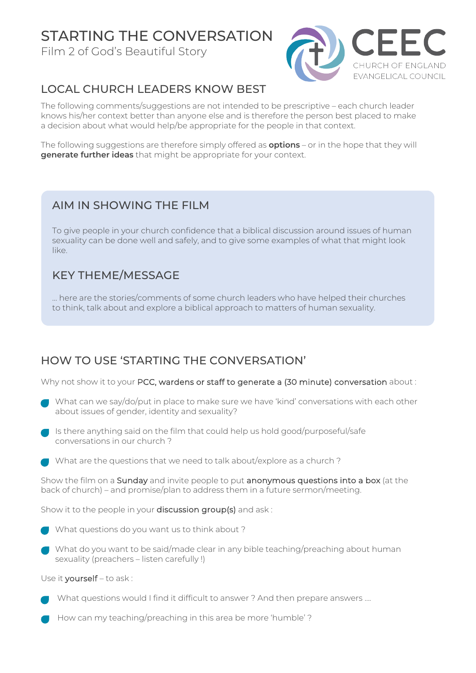# STARTING THE CONVERSATION

Film 2 of God's Beautiful Story



## LOCAL CHURCH LEADERS KNOW BEST

The following comments/suggestions are not intended to be prescriptive – each church leader knows his/her context better than anyone else and is therefore the person best placed to make a decision about what would help/be appropriate for the people in that context.

The following suggestions are therefore simply offered as **options** – or in the hope that they will **generate further ideas** that might be appropriate for your context.

#### AIM IN SHOWING THE FILM

To give people in your church confidence that a biblical discussion around issues of human sexuality can be done well and safely, and to give some examples of what that might look like.

### KEY THEME/MESSAGE

… here are the stories/comments of some church leaders who have helped their churches to think, talk about and explore a biblical approach to matters of human sexuality.

### HOW TO USE 'STARTING THE CONVERSATION'

Why not show it to your PCC, wardens or staff to generate a (30 minute) conversation about :

- What can we say/do/put in place to make sure we have 'kind' conversations with each other about issues of gender, identity and sexuality?
- Is there anything said on the film that could help us hold good/purposeful/safe conversations in our church ?
- **What are the questions that we need to talk about/explore as a church?**

Show the film on a Sunday and invite people to put anonymous questions into a box (at the back of church) – and promise/plan to address them in a future sermon/meeting.

Show it to the people in your discussion group(s) and ask:



• What do you want to be said/made clear in any bible teaching/preaching about human sexuality (preachers – listen carefully !)

Use it yourself – to ask :

- What questions would I find it difficult to answer? And then prepare answers ....
- How can my teaching/preaching in this area be more 'humble' ?